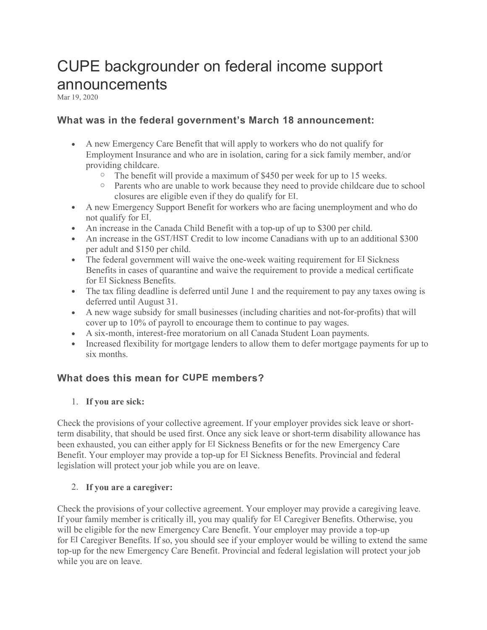# CUPE backgrounder on federal income support announcements

Mar 19, 2020

# What was in the federal government's March 18 announcement:

- A new Emergency Care Benefit that will apply to workers who do not qualify for Employment Insurance and who are in isolation, caring for a sick family member, and/or providing childcare.
	- $\circ$  The benefit will provide a maximum of \$450 per week for up to 15 weeks.
	- o Parents who are unable to work because they need to provide childcare due to school closures are eligible even if they do qualify for EI.
- A new Emergency Support Benefit for workers who are facing unemployment and who do not qualify for EI.
- An increase in the Canada Child Benefit with a top-up of up to \$300 per child.
- An increase in the GST/HST Credit to low income Canadians with up to an additional \$300 per adult and \$150 per child.
- The federal government will waive the one-week waiting requirement for EI Sickness Benefits in cases of quarantine and waive the requirement to provide a medical certificate for EI Sickness Benefits.
- The tax filing deadline is deferred until June 1 and the requirement to pay any taxes owing is deferred until August 31.
- A new wage subsidy for small businesses (including charities and not-for-profits) that will cover up to 10% of payroll to encourage them to continue to pay wages.
- A six-month, interest-free moratorium on all Canada Student Loan payments.
- Increased flexibility for mortgage lenders to allow them to defer mortgage payments for up to six months.

## What does this mean for CUPE members?

## 1. If you are sick:

Check the provisions of your collective agreement. If your employer provides sick leave or shortterm disability, that should be used first. Once any sick leave or short-term disability allowance has been exhausted, you can either apply for EI Sickness Benefits or for the new Emergency Care Benefit. Your employer may provide a top-up for EI Sickness Benefits. Provincial and federal legislation will protect your job while you are on leave.

## 2. If you are a caregiver:

Check the provisions of your collective agreement. Your employer may provide a caregiving leave. If your family member is critically ill, you may qualify for EI Caregiver Benefits. Otherwise, you will be eligible for the new Emergency Care Benefit. Your employer may provide a top-up for EI Caregiver Benefits. If so, you should see if your employer would be willing to extend the same top-up for the new Emergency Care Benefit. Provincial and federal legislation will protect your job while you are on leave.